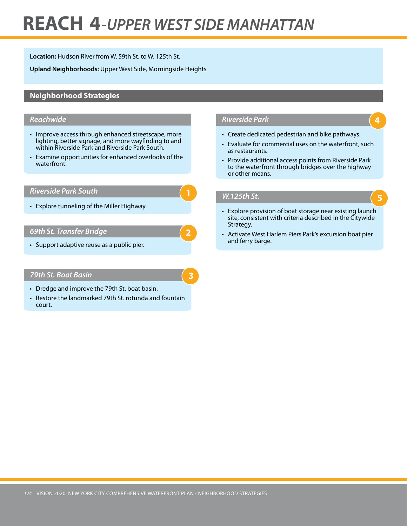# **REACH 4***-UPPER WEST SIDE MANHATTAN*

**Location:** Hudson River from W. 59th St. to W. 125th St.

**Upland Neighborhoods:** Upper West Side, Morningside Heights

# **Neighborhood Strategies**

### *Reachwide*

- Improve access through enhanced streetscape, more lighting, better signage, and more wayfinding to and within Riverside Park and Riverside Park South.
- • Examine opportunities for enhanced overlooks of the waterfront.

#### *Riverside Park South*

• Explore tunneling of the Miller Highway.

#### *69th St. Transfer Bridge*

• Support adaptive reuse as a public pier.

#### *79th St. Boat Basin*

- Dredge and improve the 79th St. boat basin.
- Restore the landmarked 79th St. rotunda and fountain court.

# *Riverside Park*

- Create dedicated pedestrian and bike pathways.
- Evaluate for commercial uses on the waterfront, such as restaurants.

**4**

**5**

• Provide additional access points from Riverside Park to the waterfront through bridges over the highway or other means.

#### *W.125th St.*

**2**

**3**

- Explore provision of boat storage near existing launch site, consistent with criteria described in the Citywide Strategy.
- Activate West Harlem Piers Park's excursion boat pier and ferry barge.